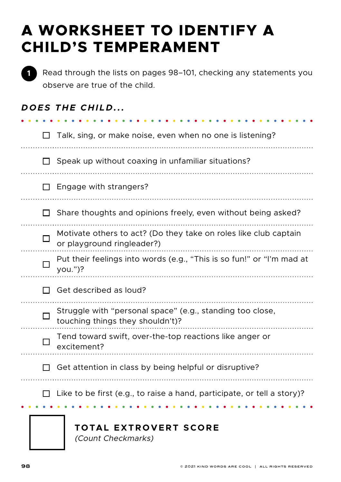# **A WORKSHEET TO IDENTIFY A CHILD'S TEMPERAMENT**



Read through the lists on pages 98–101, checking any statements you observe are true of the child.

| DOES THE CHILD                                                                                      |
|-----------------------------------------------------------------------------------------------------|
| Talk, sing, or make noise, even when no one is listening?                                           |
| Speak up without coaxing in unfamiliar situations?                                                  |
| Engage with strangers?                                                                              |
| Share thoughts and opinions freely, even without being asked?                                       |
| Motivate others to act? (Do they take on roles like club captain<br>or playground ringleader?)<br>. |
| Put their feelings into words (e.g., "This is so fun!" or "I'm mad at<br>$you.'$ ?                  |
| Get described as loud?                                                                              |
| Struggle with "personal space" (e.g., standing too close,<br>touching things they shouldn't)?       |
| Tend toward swift, over-the-top reactions like anger or<br>excitement?                              |
| Get attention in class by being helpful or disruptive?                                              |
| Like to be first (e.g., to raise a hand, participate, or tell a story)?                             |

#### $\sim$   $\sim$   $\sim$ . . . . . . . . . . . . . . . . .  $\bullet$  $\begin{array}{cccccccccccccc} \bullet & \bullet & \bullet & \bullet & \bullet & \bullet & \bullet \end{array}$

#### **TOTAL EXTROVERT SCORE**

(Count Checkmarks)

 $\bullet$ 

 $\cdots$ 

 $\cdots$ 

 $\ldots$ 

. . . ..

 $\cdots$ 

 $\cdots$ 

 $\cdots$ 

 $\ldots$ 

 $\ldots$ 

. . . ..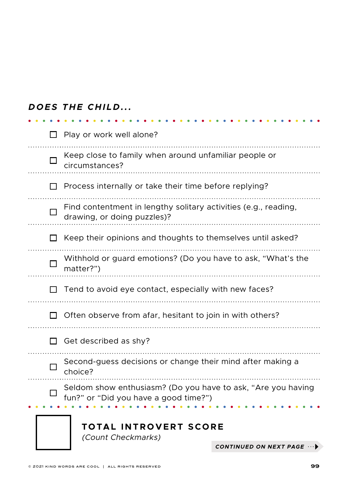|  | DOES THE CHILD |  |
|--|----------------|--|
|  |                |  |

|                                                                                                       | circumstances?                                                                                 |                        |  |  |
|-------------------------------------------------------------------------------------------------------|------------------------------------------------------------------------------------------------|------------------------|--|--|
|                                                                                                       | Process internally or take their time before replying?                                         |                        |  |  |
|                                                                                                       | Find contentment in lengthy solitary activities (e.g., reading,<br>drawing, or doing puzzles)? |                        |  |  |
|                                                                                                       | Keep their opinions and thoughts to themselves until asked?                                    |                        |  |  |
|                                                                                                       | Withhold or guard emotions? (Do you have to ask, "What's the<br>matter?")                      |                        |  |  |
|                                                                                                       | Tend to avoid eye contact, especially with new faces?                                          |                        |  |  |
| Often observe from afar, hesitant to join in with others?                                             |                                                                                                |                        |  |  |
| Get described as shy?                                                                                 |                                                                                                |                        |  |  |
| Second-guess decisions or change their mind after making a<br>choice?                                 |                                                                                                |                        |  |  |
| Seldom show enthusiasm? (Do you have to ask, "Are you having<br>fun?" or "Did you have a good time?") |                                                                                                |                        |  |  |
|                                                                                                       | <b>TOTAL INTROVERT SCORE</b><br>(Count Checkmarks)                                             |                        |  |  |
|                                                                                                       |                                                                                                | CONTINUED ON NEXT PAGE |  |  |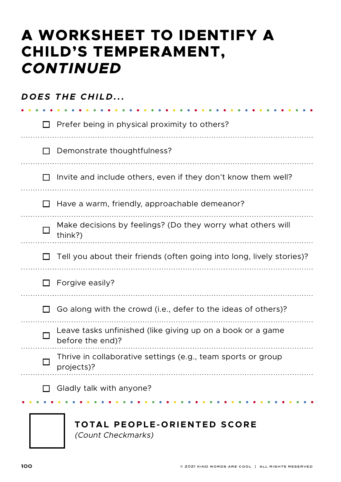# **A WORKSHEET TO IDENTIFY A CHILD'S TEMPERAMENT,**  *CONTINUED*

|              | DOES THE CHILD                                                                 |
|--------------|--------------------------------------------------------------------------------|
| $\mathsf{L}$ | Prefer being in physical proximity to others?                                  |
| $\mathsf{L}$ | Demonstrate thoughtfulness?                                                    |
|              | Invite and include others, even if they don't know them well?                  |
|              | Have a warm, friendly, approachable demeanor?                                  |
|              | Make decisions by feelings? (Do they worry what others will<br>think?)         |
|              | Tell you about their friends (often going into long, lively stories)?          |
|              | Forgive easily?                                                                |
| l I          | Go along with the crowd (i.e., defer to the ideas of others)?                  |
|              | Leave tasks unfinished (like giving up on a book or a game<br>before the end)? |
|              | Thrive in collaborative settings (e.g., team sports or group<br>projects)?     |
|              | Gladly talk with anyone?                                                       |
|              | TOTAL PEOPLE-ORIENTED SCORE<br>(Count Checkmarks)                              |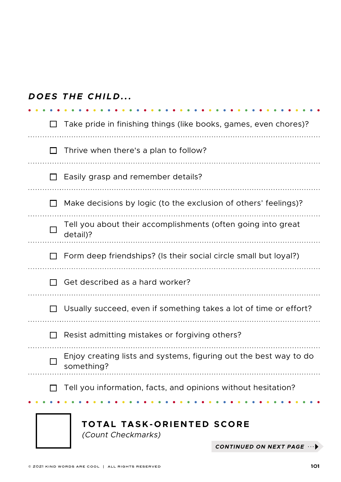|                                                                                 | DOES THE CHILD                                                           |                          |  |  |
|---------------------------------------------------------------------------------|--------------------------------------------------------------------------|--------------------------|--|--|
|                                                                                 | Take pride in finishing things (like books, games, even chores)?         |                          |  |  |
|                                                                                 | Thrive when there's a plan to follow?                                    |                          |  |  |
|                                                                                 | Easily grasp and remember details?                                       |                          |  |  |
|                                                                                 | Make decisions by logic (to the exclusion of others' feelings)?          |                          |  |  |
|                                                                                 | Tell you about their accomplishments (often going into great<br>detail)? |                          |  |  |
|                                                                                 | Form deep friendships? (Is their social circle small but loyal?)         |                          |  |  |
|                                                                                 | Get described as a hard worker?                                          |                          |  |  |
|                                                                                 | Usually succeed, even if something takes a lot of time or effort?        |                          |  |  |
| Resist admitting mistakes or forgiving others?                                  |                                                                          |                          |  |  |
| Enjoy creating lists and systems, figuring out the best way to do<br>something? |                                                                          |                          |  |  |
| Tell you information, facts, and opinions without hesitation?                   |                                                                          |                          |  |  |
|                                                                                 | TOTAL TASK-ORIENTED SCORE<br>(Count Checkmarks)                          |                          |  |  |
|                                                                                 |                                                                          | CONTINUED ON NEXT PAGE . |  |  |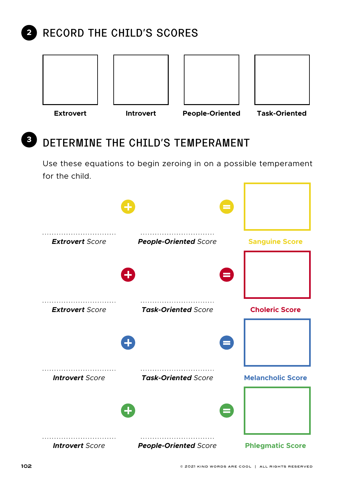#### **RECORD THE CHILD'S SCORES 2**